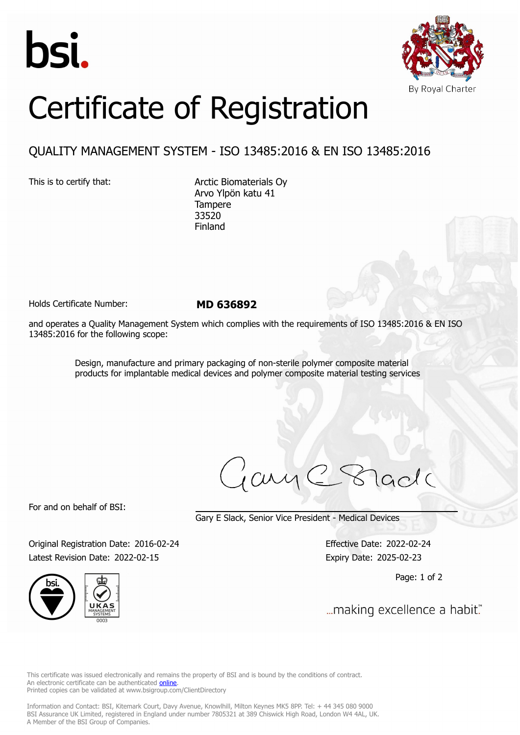



## Certificate of Registration

## QUALITY MANAGEMENT SYSTEM - ISO 13485:2016 & EN ISO 13485:2016

This is to certify that: Arctic Biomaterials Oy Arvo Ylpön katu 41 Tampere 33520 Finland

Holds Certificate Number: **MD 636892**

and operates a Quality Management System which complies with the requirements of ISO 13485:2016 & EN ISO 13485:2016 for the following scope:

> Design, manufacture and primary packaging of non-sterile polymer composite material products for implantable medical devices and polymer composite material testing services

ary

For and on behalf of BSI:

Gary E Slack, Senior Vice President - Medical Devices

Original Registration Date: 2016-02-24 Effective Date: 2022-02-24 Latest Revision Date: 2022-02-15 Expiry Date: 2025-02-23





Page: 1 of 2

... making excellence a habit."

This certificate was issued electronically and remains the property of BSI and is bound by the conditions of contract. An electronic certificate can be authenticated **[online](https://pgplus.bsigroup.com/CertificateValidation/CertificateValidator.aspx?CertificateNumber=MD+636892&ReIssueDate=15%2f02%2f2022&Template=uk)**. Printed copies can be validated at www.bsigroup.com/ClientDirectory

Information and Contact: BSI, Kitemark Court, Davy Avenue, Knowlhill, Milton Keynes MK5 8PP. Tel: + 44 345 080 9000 BSI Assurance UK Limited, registered in England under number 7805321 at 389 Chiswick High Road, London W4 4AL, UK. A Member of the BSI Group of Companies.